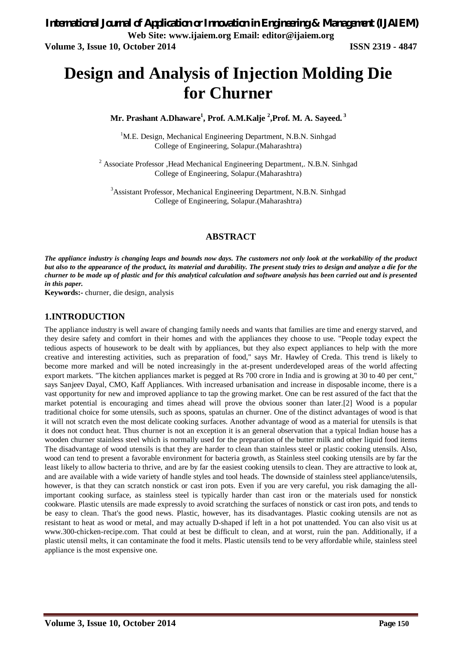# **Design and Analysis of Injection Molding Die for Churner**

**Mr. Prashant A.Dhaware<sup>1</sup> , Prof. A.M.Kalje <sup>2</sup> ,Prof. M. A. Sayeed. <sup>3</sup>**

<sup>1</sup>M.E. Design, Mechanical Engineering Department, N.B.N. Sinhgad College of Engineering, Solapur.(Maharashtra)

<sup>2</sup> Associate Professor , Head Mechanical Engineering Department,. N.B.N. Sinhgad College of Engineering, Solapur.(Maharashtra)

<sup>3</sup>Assistant Professor, Mechanical Engineering Department, N.B.N. Sinhgad College of Engineering, Solapur.(Maharashtra)

#### **ABSTRACT**

*The appliance industry is changing leaps and bounds now days. The customers not only look at the workability of the product but also to the appearance of the product, its material and durability. The present study tries to design and analyze a die for the churner to be made up of plastic and for this analytical calculation and software analysis has been carried out and is presented in this paper.*

**Keywords:-** churner, die design, analysis

#### **1.INTRODUCTION**

The appliance industry is well aware of changing family needs and wants that families are time and energy starved, and they desire safety and comfort in their homes and with the appliances they choose to use. "People today expect the tedious aspects of housework to be dealt with by appliances, but they also expect appliances to help with the more creative and interesting activities, such as preparation of food," says Mr. Hawley of Creda. This trend is likely to become more marked and will be noted increasingly in the at-present underdeveloped areas of the world affecting export markets. "The kitchen appliances market is pegged at Rs 700 crore in India and is growing at 30 to 40 per cent," says Sanjeev Dayal, CMO, Kaff Appliances. With increased urbanisation and increase in disposable income, there is a vast opportunity for new and improved appliance to tap the growing market. One can be rest assured of the fact that the market potential is encouraging and times ahead will prove the obvious sooner than later.[2] Wood is a popular traditional choice for some utensils, such as spoons, spatulas an churner. One of the distinct advantages of wood is that it will not scratch even the most delicate cooking surfaces. Another advantage of wood as a material for utensils is that it does not conduct heat. Thus churner is not an exception it is an general observation that a typical Indian house has a wooden churner stainless steel which is normally used for the preparation of the butter milk and other liquid food items The disadvantage of wood utensils is that they are harder to clean than stainless steel or plastic cooking utensils. Also, wood can tend to present a favorable environment for bacteria growth, as Stainless steel cooking utensils are by far the least likely to allow bacteria to thrive, and are by far the easiest cooking utensils to clean. They are attractive to look at, and are available with a wide variety of handle styles and tool heads. The downside of stainless steel appliance/utensils, however, is that they can scratch nonstick or cast iron pots. Even if you are very careful, you risk damaging the allimportant cooking surface, as stainless steel is typically harder than cast iron or the materials used for nonstick cookware. Plastic utensils are made expressly to avoid scratching the surfaces of nonstick or cast iron pots, and tends to be easy to clean. That's the good news. Plastic, however, has its disadvantages. Plastic cooking utensils are not as resistant to heat as wood or metal, and may actually D-shaped if left in a hot pot unattended. You can also visit us at www.300-chicken-recipe.com. That could at best be difficult to clean, and at worst, ruin the pan. Additionally, if a plastic utensil melts, it can contaminate the food it melts. Plastic utensils tend to be very affordable while, stainless steel appliance is the most expensive one.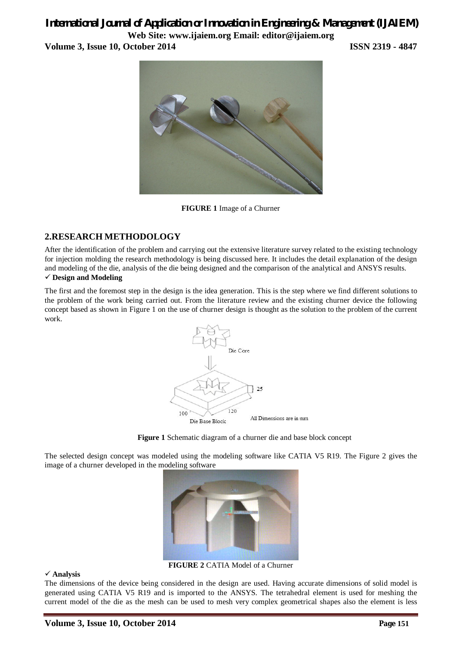## *International Journal of Application or Innovation in Engineering & Management (IJAIEM)* **Web Site: www.ijaiem.org Email: editor@ijaiem.org**

**Volume 3, Issue 10, October 2014 ISSN 2319 - 4847**



**FIGURE 1** Image of a Churner

## **2.RESEARCH METHODOLOGY**

After the identification of the problem and carrying out the extensive literature survey related to the existing technology for injection molding the research methodology is being discussed here. It includes the detail explanation of the design and modeling of the die, analysis of the die being designed and the comparison of the analytical and ANSYS results.

#### **Design and Modeling**

The first and the foremost step in the design is the idea generation. This is the step where we find different solutions to the problem of the work being carried out. From the literature review and the existing churner device the following concept based as shown in Figure 1 on the use of churner design is thought as the solution to the problem of the current work.





The selected design concept was modeled using the modeling software like CATIA V5 R19. The Figure 2 gives the image of a churner developed in the modeling software



**FIGURE 2** CATIA Model of a Churner

#### **Analysis**

The dimensions of the device being considered in the design are used. Having accurate dimensions of solid model is generated using CATIA V5 R19 and is imported to the ANSYS. The tetrahedral element is used for meshing the current model of the die as the mesh can be used to mesh very complex geometrical shapes also the element is less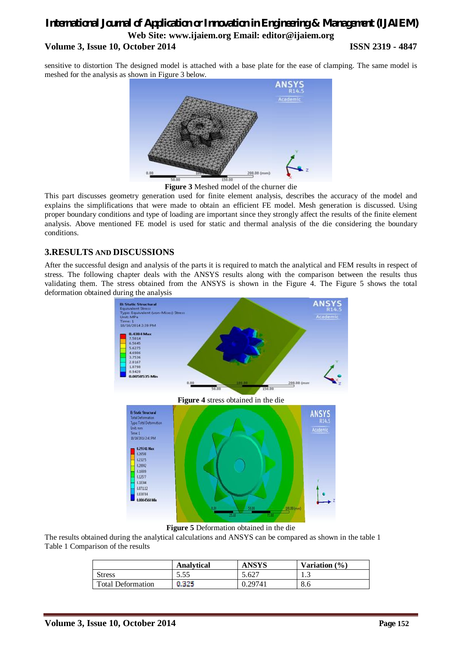## *International Journal of Application or Innovation in Engineering & Management (IJAIEM)* **Web Site: www.ijaiem.org Email: editor@ijaiem.org Volume 3, Issue 10, October 2014 ISSN 2319 - 4847**

sensitive to distortion The designed model is attached with a base plate for the ease of clamping. The same model is meshed for the analysis as shown in Figure 3 below.



**Figure 3** Meshed model of the churner die

This part discusses geometry generation used for finite element analysis, describes the accuracy of the model and explains the simplifications that were made to obtain an efficient FE model. Mesh generation is discussed. Using proper boundary conditions and type of loading are important since they strongly affect the results of the finite element analysis. Above mentioned FE model is used for static and thermal analysis of the die considering the boundary conditions.

#### **3.RESULTS AND DISCUSSIONS**

After the successful design and analysis of the parts it is required to match the analytical and FEM results in respect of stress. The following chapter deals with the ANSYS results along with the comparison between the results thus validating them. The stress obtained from the ANSYS is shown in the Figure 4. The Figure 5 shows the total deformation obtained during the analysis



**Figure 5** Deformation obtained in the die

The results obtained during the analytical calculations and ANSYS can be compared as shown in the table 1 Table 1 Comparison of the results

|                          | <b>Analytical</b> | <b>ANSYS</b> | Variation $(\% )$ |
|--------------------------|-------------------|--------------|-------------------|
| <b>Stress</b>            | 5.55              | 5.627        | ر                 |
| <b>Total Deformation</b> | 0.325             | 0.29741      | 8.6               |